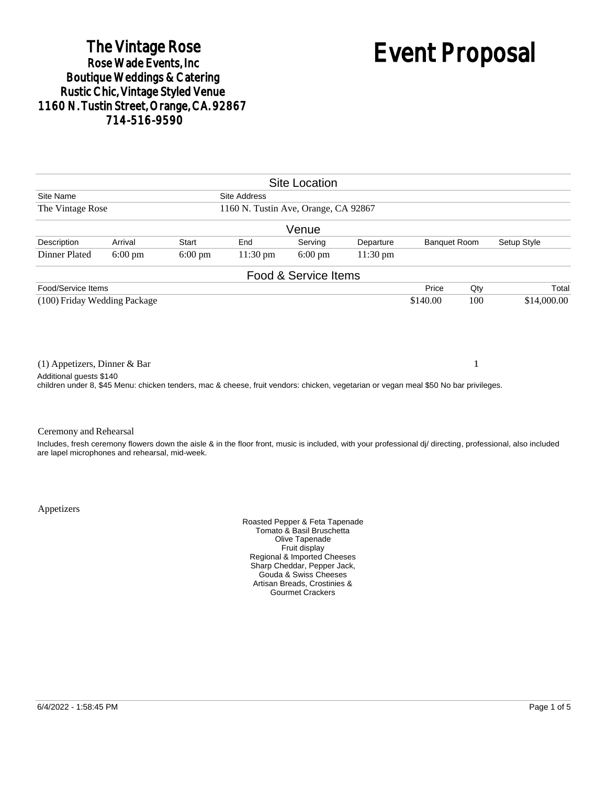# The Vintage Rose<br>Rose Wade Events, Inc. Boutique Weddings & Catering<br>Rustic Chic, Vintage Styled Venue 1160 N. Tustin Street, Orange, CA. 92867 714-516-9590

# Event Proposal

| <b>Site Location</b>                                                                                                                                                                                                                                                                                                                                                           |                   |           |                     |                      |                    |                     |     |             |  |
|--------------------------------------------------------------------------------------------------------------------------------------------------------------------------------------------------------------------------------------------------------------------------------------------------------------------------------------------------------------------------------|-------------------|-----------|---------------------|----------------------|--------------------|---------------------|-----|-------------|--|
| Site Name                                                                                                                                                                                                                                                                                                                                                                      |                   |           | <b>Site Address</b> |                      |                    |                     |     |             |  |
| 1160 N. Tustin Ave, Orange, CA 92867<br>The Vintage Rose                                                                                                                                                                                                                                                                                                                       |                   |           |                     |                      |                    |                     |     |             |  |
| Venue                                                                                                                                                                                                                                                                                                                                                                          |                   |           |                     |                      |                    |                     |     |             |  |
| Description                                                                                                                                                                                                                                                                                                                                                                    | Arrival           | Start     | End                 | Serving              | Departure          | <b>Banquet Room</b> |     | Setup Style |  |
| Dinner Plated                                                                                                                                                                                                                                                                                                                                                                  | $6:00 \text{ pm}$ | $6:00$ pm | $11:30$ pm          | $6:00 \text{ pm}$    | $11:30 \text{ pm}$ |                     |     |             |  |
|                                                                                                                                                                                                                                                                                                                                                                                |                   |           |                     | Food & Service Items |                    |                     |     |             |  |
| Food/Service Items                                                                                                                                                                                                                                                                                                                                                             |                   |           |                     |                      |                    | Price               | Qty | Total       |  |
| (100) Friday Wedding Package                                                                                                                                                                                                                                                                                                                                                   |                   |           |                     |                      |                    | \$140.00            | 100 | \$14,000.00 |  |
| $(1)$ Appetizers, Dinner & Bar<br>Additional quests \$140                                                                                                                                                                                                                                                                                                                      |                   |           |                     |                      |                    |                     | 1   |             |  |
| children under 8, \$45 Menu: chicken tenders, mac & cheese, fruit vendors: chicken, vegetarian or vegan meal \$50 No bar privileges.<br>Ceremony and Rehearsal<br>Includes, fresh ceremony flowers down the aisle & in the floor front, music is included, with your professional di/ directing, professional, also included<br>are lapel microphones and rehearsal, mid-week. |                   |           |                     |                      |                    |                     |     |             |  |
|                                                                                                                                                                                                                                                                                                                                                                                |                   |           |                     |                      |                    |                     |     |             |  |

Appetizers

Roasted Pepper & Feta Tapenade Tomato & Basil Bruschetta Olive Tapenade Fruit display Regional & Imported Cheeses Sharp Cheddar, Pepper Jack, Gouda & Swiss Cheeses Artisan Breads, Crostinies & Gourmet Crackers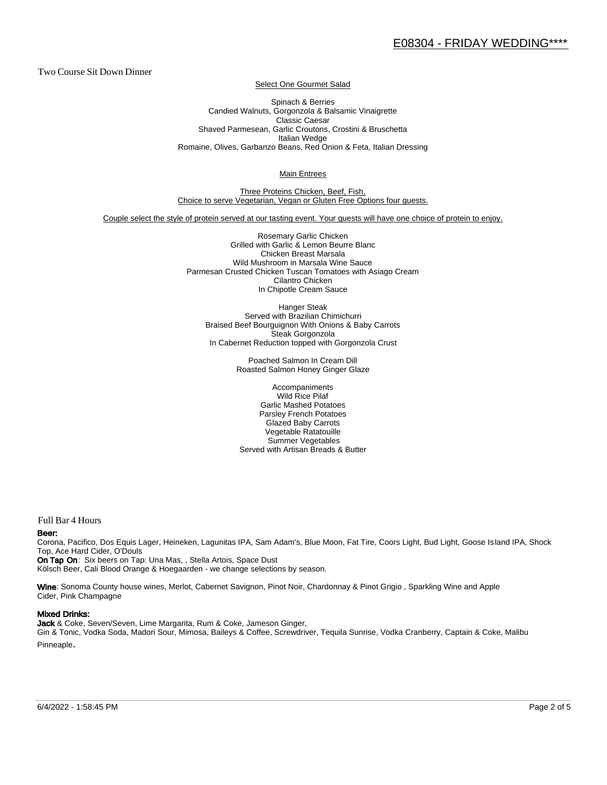Two Course Sit Down Dinner

Select One Gourmet Salad

Spinach & Berries Candied Walnuts, Gorgonzola & Balsamic Vinaigrette Classic Caesar Shaved Parmesean, Garlic Croutons, Crostini & Bruschetta Italian Wedge Romaine, Olives, Garbanzo Beans, Red Onion & Feta, Italian Dressing

Main Entrees

Three Proteins Chicken, Beef, Fish, Choice to serve Vegetarian, Vegan or Gluten Free Options four guests.

Couple select the style of protein served at our tasting event. Your guests will have one choice of protein to enjoy.

Rosemary Garlic Chicken Grilled with Garlic & Lemon Beurre Blanc Chicken Breast Marsala Wild Mushroom in Marsala Wine Sauce Parmesan Crusted Chicken Tuscan Tomatoes with Asiago Cream Cilantro Chicken In Chipotle Cream Sauce

Hanger Steak Served with Brazilian Chimichurri Braised Beef Bourguignon With Onions & Baby Carrots Steak Gorgonzola In Cabernet Reduction topped with Gorgonzola Crust

> Poached Salmon In Cream Dill Roasted Salmon Honey Ginger Glaze

Accompaniments Wild Rice Pilaf Garlic Mashed Potatoes Parsley French Potatoes Glazed Baby Carrots Vegetable Ratatouille Summer Vegetables Served with Artisan Breads & Butter

Full Bar 4 Hours

#### Beer:

Corona, Pacifico, Dos Equis Lager, Heineken, Lagunitas IPA, Sam Adam's, Blue Moon, Fat Tire, Coors Light, Bud Light, Goose Is land IPA, Shock Top, Ace Hard Cider, O'Douls

On Tap On: Six beers on Tap: Una Mas, , Stella Artois, Space Dust Kölsch Beer, Cali Blood Orange & Hoegaarden - we change selections by season.

Wine: Sonoma County house wines, Merlot, Cabernet Savignon, Pinot Noir, Chardonnay & Pinot Grigio, Sparkling Wine and Apple Cider, Pink Champagne

#### Mixed Drinks:

Jack & Coke, Seven/Seven, Lime Margarita, Rum & Coke, Jameson Ginger, Gin & Tonic, Vodka Soda, Madori Sour, Mimosa, Baileys & Coffee, Screwdriver, Tequila Sunrise, Vodka Cranberry, Captain & Coke, Malibu Pinneaple.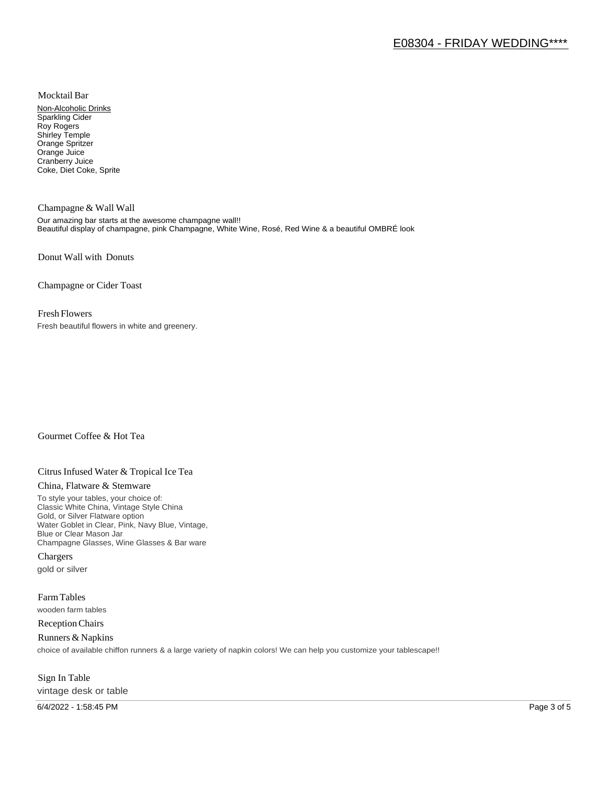Mocktail Bar

Non-Alcoholic Drinks Sparkling Cider Roy Rogers Shirley Temple Orange Spritzer Orange Juice Cranberry Juice Coke, Diet Coke, Sprite

Champagne & Wall Wall Our amazing bar starts at the awesome champagne wall!! Beautiful display of champagne, pink Champagne, White Wine, Rosé, Red Wine & a beautiful OMBRÉ look

Donut Wall with Donuts

Champagne or Cider Toast

#### Fresh Flowers

Fresh beautiful flowers in white and greenery.

# Gourmet Coffee & Hot Tea

# Citrus Infused Water & Tropical Ice Tea

#### China, Flatware & Stemware

To style your tables, your choice of: Classic White China, Vintage Style China Gold, or Silver Flatware option Water Goblet in Clear, Pink, Navy Blue, Vintage, Blue or Clear Mason Jar Champagne Glasses, Wine Glasses & Bar ware

Chargers gold or silver

Farm Tables wooden farm tables

Reception Chairs

Runners & Napkins choice of available chiffon runners & a large variety of napkin colors! We can help you customize your tablescape!!

# Sign In Table vintage desk or table

6/4/2022 - 1:58:45 PM Page 3 of 5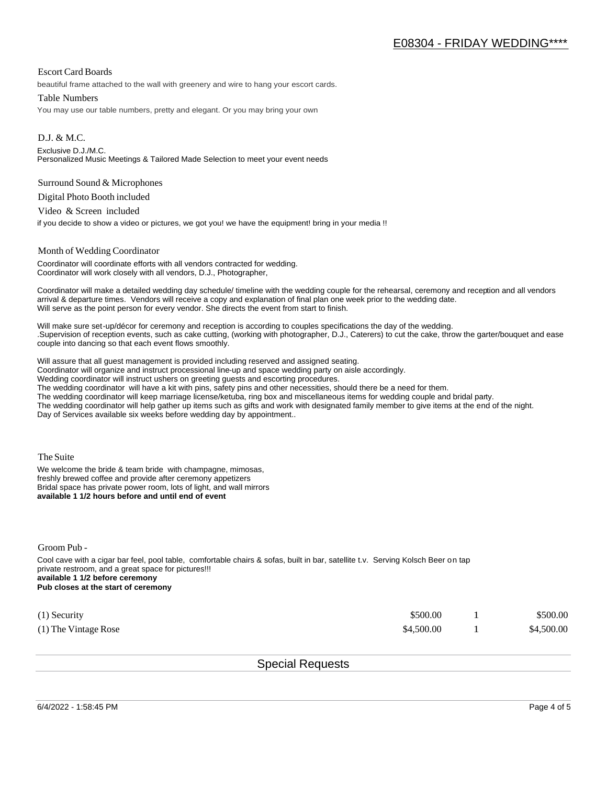### Escort Card Boards

beautiful frame attached to the wall with greenery and wire to hang your escort cards.

#### Table Numbers

You may use our table numbers, pretty and elegant. Or you may bring your own

D.J. & M.C. Exclusive D.J./M.C. Personalized Music Meetings & Tailored Made Selection to meet your event needs

#### Surround Sound & Microphones

Digital Photo Booth included

Video & Screen included

if you decide to show a video or pictures, we got you! we have the equipment! bring in your media !!

#### Month of Wedding Coordinator

Coordinator will coordinate efforts with all vendors contracted for wedding. Coordinator will work closely with all vendors, D.J., Photographer,

Coordinator will make a detailed wedding day schedule/ timeline with the wedding couple for the rehearsal, ceremony and reception and all vendors arrival & departure times. Vendors will receive a copy and explanation of final plan one week prior to the wedding date. Will serve as the point person for every vendor. She directs the event from start to finish.

Will make sure set-up/décor for ceremony and reception is according to couples specifications the day of the wedding. .Supervision of reception events, such as cake cutting, (working with photographer, D.J., Caterers) to cut the cake, throw the garter/bouquet and ease couple into dancing so that each event flows smoothly.

Will assure that all guest management is provided including reserved and assigned seating.

Coordinator will organize and instruct processional line-up and space wedding party on aisle accordingly.

Wedding coordinator will instruct ushers on greeting guests and escorting procedures.

The wedding coordinator will have a kit with pins, safety pins and other necessities, should there be a need for them.

The wedding coordinator will keep marriage license/ketuba, ring box and miscellaneous items for wedding couple and bridal party.

The wedding coordinator will help gather up items such as gifts and work with designated family member to give items at the end of the night. Day of Services available six weeks before wedding day by appointment..

The Suite

We welcome the bride & team bride with champagne, mimosas, freshly brewed coffee and provide after ceremony appetizers Bridal space has private power room, lots of light, and wall mirrors **available 1 1/2 hours before and until end of event** 

Groom Pub -

Cool cave with a cigar bar feel, pool table, comfortable chairs & sofas, built in bar, satellite t.v. Serving Kolsch Beer on tap private restroom, and a great space for pictures!!! **available 1 1/2 before ceremony Pub closes at the start of ceremony**

| $(1)$ Security       | \$500.00   | \$500.00   |
|----------------------|------------|------------|
| (1) The Vintage Rose | \$4,500.00 | \$4,500.00 |

Special Requests